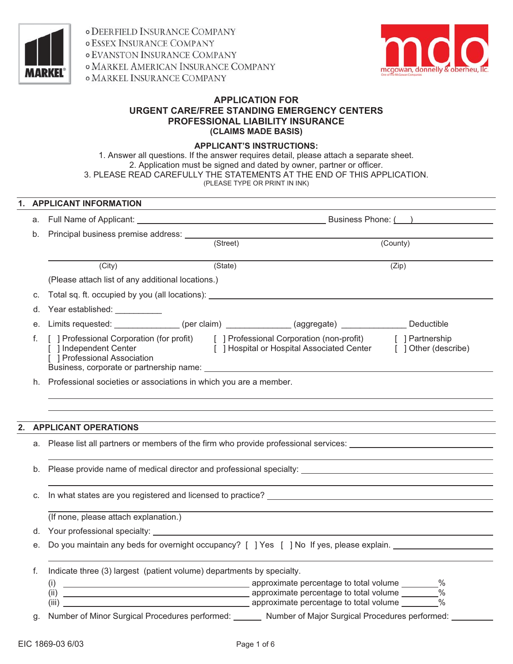

*o DEERFIELD INSURANCE COMPANY* **o ESSEX INSURANCE COMPANY** *O EVANSTON INSURANCE COMPANY* **O MARKEL AMERICAN INSURANCE COMPANY** o MARKEL INSURANCE COMPANY



## **APPLICATION FOR URGENT CARE/FREE STANDING EMERGENCY CENTERS PROFESSIONAL LIABILITY INSURANCE (CLAIMS MADE BASIS)**

#### **APPLICANT'S INSTRUCTIONS:**

1. Answer all questions. If the answer requires detail, please attach a separate sheet. 2. Application must be signed and dated by owner, partner or officer. 3. PLEASE READ CAREFULLY THE STATEMENTS AT THE END OF THIS APPLICATION. (PLEASE TYPE OR PRINT IN INK)

# **1. APPLICANT INFORMATION**

| а. |                                                                       |                                                                                                                                                                        |               |
|----|-----------------------------------------------------------------------|------------------------------------------------------------------------------------------------------------------------------------------------------------------------|---------------|
| b. |                                                                       |                                                                                                                                                                        |               |
|    |                                                                       | (Street)                                                                                                                                                               | (County)      |
|    | (City)                                                                | (State)                                                                                                                                                                | (Zip)         |
|    | (Please attach list of any additional locations.)                     |                                                                                                                                                                        |               |
| C. |                                                                       | Total sq. ft. occupied by you (all locations): __________________________________                                                                                      |               |
| d. | Year established: Vear established:                                   |                                                                                                                                                                        |               |
| е. |                                                                       | Limits requested: ______________(per claim) ____________(aggregate) ____________ Deductible                                                                            |               |
| f. | [ ] Independent Center<br>[ ] Professional Association                | [ ] Professional Corporation (for profit) [ ] Professional Corporation (non-profit) [ ] Partnership<br>[ ] Hospital or Hospital Associated Center [ ] Other (describe) |               |
| h. | Professional societies or associations in which you are a member.     |                                                                                                                                                                        |               |
|    |                                                                       |                                                                                                                                                                        |               |
|    |                                                                       |                                                                                                                                                                        |               |
|    | <b>APPLICANT OPERATIONS</b>                                           |                                                                                                                                                                        |               |
|    |                                                                       | a. Please list all partners or members of the firm who provide professional services: ________________________                                                         |               |
|    |                                                                       |                                                                                                                                                                        |               |
| b. |                                                                       |                                                                                                                                                                        |               |
| C. |                                                                       |                                                                                                                                                                        |               |
|    |                                                                       |                                                                                                                                                                        |               |
|    | (If none, please attach explanation.)                                 |                                                                                                                                                                        |               |
| d. |                                                                       |                                                                                                                                                                        |               |
| е. |                                                                       | Do you maintain any beds for overnight occupancy? [ ] Yes [ ] No If yes, please explain.                                                                               |               |
| f. | Indicate three (3) largest (patient volume) departments by specialty. |                                                                                                                                                                        |               |
|    | (i)<br>(ii)<br>(iii)                                                  | approximate percentage to total volume _______%<br>approximate percentage to total volume _______%                                                                     | $\frac{0}{0}$ |
| g. |                                                                       | Number of Minor Surgical Procedures performed: Number of Major Surgical Procedures performed:                                                                          |               |
|    |                                                                       |                                                                                                                                                                        |               |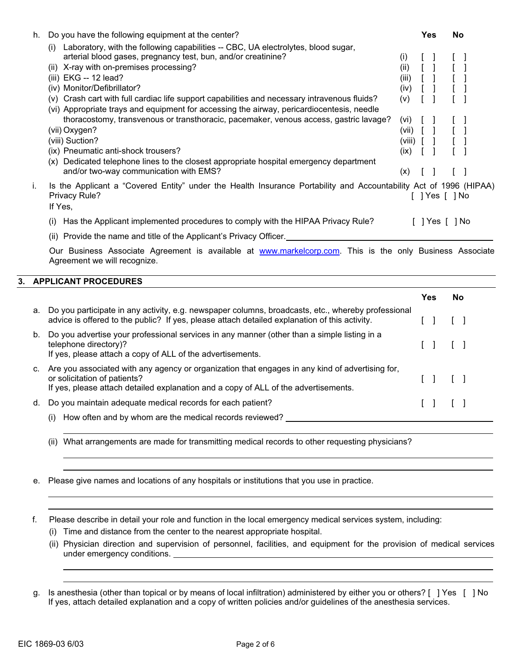| h. | Do you have the following equipment at the center?                                                                                                                                                                                                                                                                                                                                                                                                                                                                                                                                                                               |                                                                        | Yes       | No |      |
|----|----------------------------------------------------------------------------------------------------------------------------------------------------------------------------------------------------------------------------------------------------------------------------------------------------------------------------------------------------------------------------------------------------------------------------------------------------------------------------------------------------------------------------------------------------------------------------------------------------------------------------------|------------------------------------------------------------------------|-----------|----|------|
|    | Laboratory, with the following capabilities -- CBC, UA electrolytes, blood sugar,<br>(i)<br>arterial blood gases, pregnancy test, bun, and/or creatinine?<br>X-ray with on-premises processing?<br>(ii)<br>(iii) EKG -- 12 lead?<br>(iv) Monitor/Defibrillator?<br>(v) Crash cart with full cardiac life support capabilities and necessary intravenous fluids?<br>(vi) Appropriate trays and equipment for accessing the airway, pericardiocentesis, needle<br>thoracostomy, transvenous or transthoracic, pacemaker, venous access, gastric lavage?<br>(vii) Oxygen?<br>(viii) Suction?<br>(ix) Pneumatic anti-shock trousers? | (i)<br>(ii)<br>(iii)<br>(iv)<br>(v)<br>(Vİ)<br>(VII)<br>(viii)<br>(ix) |           |    |      |
|    | Dedicated telephone lines to the closest appropriate hospital emergency department<br>(x)<br>and/or two-way communication with EMS?                                                                                                                                                                                                                                                                                                                                                                                                                                                                                              | (x)                                                                    |           |    |      |
| Τ. | Is the Applicant a "Covered Entity" under the Health Insurance Portability and Accountability Act of 1996 (HIPAA)<br>Privacy Rule?<br>If Yes,                                                                                                                                                                                                                                                                                                                                                                                                                                                                                    |                                                                        | Yes [  No |    |      |
|    | Has the Applicant implemented procedures to comply with the HIPAA Privacy Rule?<br>(1)<br>(ii) Provide the name and title of the Applicant's Privacy Officer.                                                                                                                                                                                                                                                                                                                                                                                                                                                                    |                                                                        | ∣Yes I    |    | 1 No |

Our Business Associate Agreement is available at www.markelcorp.com. This is the only Business Associate Agreement we will recognize.

#### **3. APPLICANT PROCEDURES**

|    |                                                                                                                                                                                                                        | Yes | <b>No</b> |
|----|------------------------------------------------------------------------------------------------------------------------------------------------------------------------------------------------------------------------|-----|-----------|
|    | a. Do you participate in any activity, e.g. newspaper columns, broadcasts, etc., whereby professional<br>advice is offered to the public? If yes, please attach detailed explanation of this activity.                 |     |           |
| b. | Do you advertise your professional services in any manner (other than a simple listing in a<br>telephone directory)?<br>If yes, please attach a copy of ALL of the advertisements.                                     |     |           |
| c. | Are you associated with any agency or organization that engages in any kind of advertising for,<br>or solicitation of patients?<br>If yes, please attach detailed explanation and a copy of ALL of the advertisements. |     |           |
| d. | Do you maintain adequate medical records for each patient?                                                                                                                                                             |     |           |
|    | How often and by whom are the medical records reviewed?                                                                                                                                                                |     |           |

- (ii) What arrangements are made for transmitting medical records to other requesting physicians?
- e. Please give names and locations of any hospitals or institutions that you use in practice.

f. Please describe in detail your role and function in the local emergency medical services system, including:

- (i) Time and distance from the center to the nearest appropriate hospital.
- (ii) Physician direction and supervision of personnel, facilities, and equipment for the provision of medical services under emergency conditions.

g. Is anesthesia (other than topical or by means of local infiltration) administered by either you or others? [ ] Yes [ ] No If yes, attach detailed explanation and a copy of written policies and/or guidelines of the anesthesia services.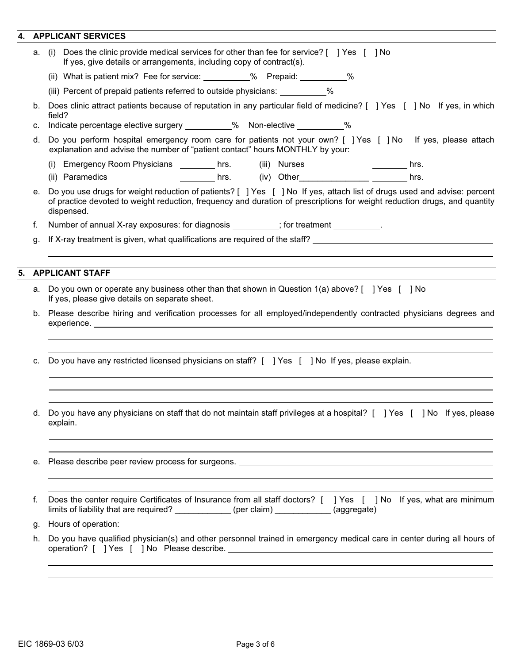# **4. APPLICANT SERVICES**

| (i) Does the clinic provide medical services for other than fee for service? [ ] Yes [ ] No<br>If yes, give details or arrangements, including copy of contract(s).<br>(ii) What is patient mix? Fee for service: __________% Prepaid: __________%<br>(iii) Percent of prepaid patients referred to outside physicians: __________%<br>Does clinic attract patients because of reputation in any particular field of medicine? [ ] Yes [ ] No If yes, in which<br>field? |
|--------------------------------------------------------------------------------------------------------------------------------------------------------------------------------------------------------------------------------------------------------------------------------------------------------------------------------------------------------------------------------------------------------------------------------------------------------------------------|
|                                                                                                                                                                                                                                                                                                                                                                                                                                                                          |
|                                                                                                                                                                                                                                                                                                                                                                                                                                                                          |
|                                                                                                                                                                                                                                                                                                                                                                                                                                                                          |
|                                                                                                                                                                                                                                                                                                                                                                                                                                                                          |
| Indicate percentage elective surgery __________% Non-elective __________%                                                                                                                                                                                                                                                                                                                                                                                                |
| Do you perform hospital emergency room care for patients not your own? [ ] Yes [ ] No If yes, please attach<br>explanation and advise the number of "patient contact" hours MONTHLY by your:                                                                                                                                                                                                                                                                             |
| (i) Emergency Room Physicians _________ hrs. (iii) Nurses<br><u> 1989 - John Stein, Amerikaansk kon</u><br>hrs.                                                                                                                                                                                                                                                                                                                                                          |
| (ii) Paramedics<br>hrs.                                                                                                                                                                                                                                                                                                                                                                                                                                                  |
| Do you use drugs for weight reduction of patients? [ ] Yes [ ] No If yes, attach list of drugs used and advise: percent<br>of practice devoted to weight reduction, frequency and duration of prescriptions for weight reduction drugs, and quantity<br>dispensed.                                                                                                                                                                                                       |
| Number of annual X-ray exposures: for diagnosis _________; for treatment _________.                                                                                                                                                                                                                                                                                                                                                                                      |
| If X-ray treatment is given, what qualifications are required of the staff?                                                                                                                                                                                                                                                                                                                                                                                              |
|                                                                                                                                                                                                                                                                                                                                                                                                                                                                          |
| <b>APPLICANT STAFF</b>                                                                                                                                                                                                                                                                                                                                                                                                                                                   |
|                                                                                                                                                                                                                                                                                                                                                                                                                                                                          |
| Do you own or operate any business other than that shown in Question 1(a) above? [ ] Yes [ ] No<br>If yes, please give details on separate sheet.                                                                                                                                                                                                                                                                                                                        |
| Please describe hiring and verification processes for all employed/independently contracted physicians degrees and                                                                                                                                                                                                                                                                                                                                                       |
| Do you have any restricted licensed physicians on staff? [ ] Yes [ ] No If yes, please explain.                                                                                                                                                                                                                                                                                                                                                                          |
| Do you have any physicians on staff that do not maintain staff privileges at a hospital? [ ] Yes [ ] No If yes, please                                                                                                                                                                                                                                                                                                                                                   |
|                                                                                                                                                                                                                                                                                                                                                                                                                                                                          |
|                                                                                                                                                                                                                                                                                                                                                                                                                                                                          |
|                                                                                                                                                                                                                                                                                                                                                                                                                                                                          |
| Does the center require Certificates of Insurance from all staff doctors? [ ] Yes [ ] No If yes, what are minimum<br>limits of liability that are required? ____________ (per claim) ___________ (aggregate)                                                                                                                                                                                                                                                             |
| Hours of operation:                                                                                                                                                                                                                                                                                                                                                                                                                                                      |
|                                                                                                                                                                                                                                                                                                                                                                                                                                                                          |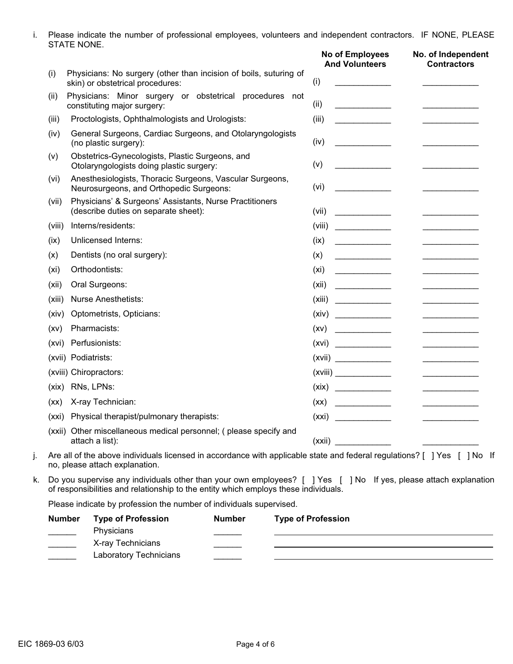i. Please indicate the number of professional employees, volunteers and independent contractors. IF NONE, PLEASE STATE NONE.

|                   |                                                                                                                                                                                                         | No of Employees<br><b>And Volunteers</b>                                                                                                                                                                                                                                                                                                                                                                                       | No. of Independent<br><b>Contractors</b>                                                                                                                                                                                             |
|-------------------|---------------------------------------------------------------------------------------------------------------------------------------------------------------------------------------------------------|--------------------------------------------------------------------------------------------------------------------------------------------------------------------------------------------------------------------------------------------------------------------------------------------------------------------------------------------------------------------------------------------------------------------------------|--------------------------------------------------------------------------------------------------------------------------------------------------------------------------------------------------------------------------------------|
| (i)               | Physicians: No surgery (other than incision of boils, suturing of<br>skin) or obstetrical procedures:                                                                                                   | (i)                                                                                                                                                                                                                                                                                                                                                                                                                            |                                                                                                                                                                                                                                      |
| (ii)              | Physicians: Minor surgery or obstetrical procedures not<br>constituting major surgery:                                                                                                                  | (ii)<br><u> 1999 - Johann Barbara, martx</u>                                                                                                                                                                                                                                                                                                                                                                                   | <u>and the company of the company of the company of the company of the company of the company of the company of the company of the company of the company of the company of the company of the company of the company of the com</u> |
| (iii)             | Proctologists, Ophthalmologists and Urologists:                                                                                                                                                         | (iii)<br>and the company of the                                                                                                                                                                                                                                                                                                                                                                                                |                                                                                                                                                                                                                                      |
| (iv)              | General Surgeons, Cardiac Surgeons, and Otolaryngologists<br>(no plastic surgery):                                                                                                                      | (iv)                                                                                                                                                                                                                                                                                                                                                                                                                           |                                                                                                                                                                                                                                      |
| (v)               | Obstetrics-Gynecologists, Plastic Surgeons, and<br>Otolaryngologists doing plastic surgery:                                                                                                             | (v)                                                                                                                                                                                                                                                                                                                                                                                                                            |                                                                                                                                                                                                                                      |
| (vi)              | Anesthesiologists, Thoracic Surgeons, Vascular Surgeons,<br>Neurosurgeons, and Orthopedic Surgeons:                                                                                                     | (vi)<br><u> 1990 - Johann Barnett, fransk politiker</u>                                                                                                                                                                                                                                                                                                                                                                        |                                                                                                                                                                                                                                      |
| (vii)             | Physicians' & Surgeons' Assistants, Nurse Practitioners<br>(describe duties on separate sheet):                                                                                                         | (vii)                                                                                                                                                                                                                                                                                                                                                                                                                          |                                                                                                                                                                                                                                      |
| (viii)            | Interns/residents:                                                                                                                                                                                      | (viii)<br><u> 1999 - Johann Barnett, fransk politiker</u>                                                                                                                                                                                                                                                                                                                                                                      |                                                                                                                                                                                                                                      |
| (ix)              | <b>Unlicensed Interns:</b>                                                                                                                                                                              | (ix)                                                                                                                                                                                                                                                                                                                                                                                                                           |                                                                                                                                                                                                                                      |
| (x)               | Dentists (no oral surgery):                                                                                                                                                                             | (x)                                                                                                                                                                                                                                                                                                                                                                                                                            |                                                                                                                                                                                                                                      |
| (x <sub>i</sub> ) | Orthodontists:                                                                                                                                                                                          | (xi)                                                                                                                                                                                                                                                                                                                                                                                                                           |                                                                                                                                                                                                                                      |
| (xii)             | Oral Surgeons:                                                                                                                                                                                          | (xii)<br>$\frac{1}{1-\frac{1}{2-\frac{1}{2-\frac{1}{2-\frac{1}{2-\frac{1}{2-\frac{1}{2-\frac{1}{2-\frac{1}{2-\frac{1}{2-\frac{1}{2-\frac{1}{2-\frac{1}{2-\frac{1}{2-\frac{1}{2-\frac{1}{2-\frac{1}{2-\frac{1}{2-\frac{1}{2-\frac{1}{2-\frac{1}{2-\frac{1}{2-\frac{1}{2-\frac{1}{2-\frac{1}{2-\frac{1}{2-\frac{1}{2-\frac{1}{2-\frac{1}{2-\frac{1}{2-\frac{1}{2-\frac{1}{2-\frac{1}{2-\frac{1}{2-\frac{1}{2-\frac{1}{2-\frac{1$ |                                                                                                                                                                                                                                      |
| (xiii)            | <b>Nurse Anesthetists:</b>                                                                                                                                                                              | (xiii)                                                                                                                                                                                                                                                                                                                                                                                                                         |                                                                                                                                                                                                                                      |
| (xiv)             | Optometrists, Opticians:                                                                                                                                                                                | (xiv)                                                                                                                                                                                                                                                                                                                                                                                                                          |                                                                                                                                                                                                                                      |
| (xv)              | Pharmacists:                                                                                                                                                                                            | (xv)<br>$\frac{1}{2}$                                                                                                                                                                                                                                                                                                                                                                                                          | the control of the control of the                                                                                                                                                                                                    |
| (xvi)             | Perfusionists:                                                                                                                                                                                          | (xvi)                                                                                                                                                                                                                                                                                                                                                                                                                          |                                                                                                                                                                                                                                      |
|                   | (xvii) Podiatrists:                                                                                                                                                                                     | (xvii)                                                                                                                                                                                                                                                                                                                                                                                                                         |                                                                                                                                                                                                                                      |
|                   | (xviii) Chiropractors:                                                                                                                                                                                  | (xviii)                                                                                                                                                                                                                                                                                                                                                                                                                        |                                                                                                                                                                                                                                      |
|                   | (xix) RNs, LPNs:                                                                                                                                                                                        | (xix)                                                                                                                                                                                                                                                                                                                                                                                                                          |                                                                                                                                                                                                                                      |
| (xx)              | X-ray Technician:                                                                                                                                                                                       | (xx)                                                                                                                                                                                                                                                                                                                                                                                                                           |                                                                                                                                                                                                                                      |
|                   | (xxi) Physical therapist/pulmonary therapists:                                                                                                                                                          | (xxi)                                                                                                                                                                                                                                                                                                                                                                                                                          |                                                                                                                                                                                                                                      |
|                   | (xxii) Other miscellaneous medical personnel; (please specify and<br>attach a list):                                                                                                                    | (xxii)                                                                                                                                                                                                                                                                                                                                                                                                                         |                                                                                                                                                                                                                                      |
|                   | Are all of the above individuals licensed in accordance with applicable state and federal regulations? [ ] Yes [ ] No If<br>no, please attach explanation.                                              |                                                                                                                                                                                                                                                                                                                                                                                                                                |                                                                                                                                                                                                                                      |
|                   | Do you supervise any individuals other than your own employees? [ ] Yes [ ] No If yes, please attach explanation<br>of responsibilities and relationship to the entity which employs these individuals. |                                                                                                                                                                                                                                                                                                                                                                                                                                |                                                                                                                                                                                                                                      |

Please indicate by profession the number of individuals supervised.

| <b>Number</b>            | <b>Type of Profession</b> | <b>Number</b> | <b>Type of Profession</b> |
|--------------------------|---------------------------|---------------|---------------------------|
| <b>Contract Contract</b> | Physicians                |               |                           |
|                          | X-ray Technicians         |               |                           |
|                          | Laboratory Technicians    |               |                           |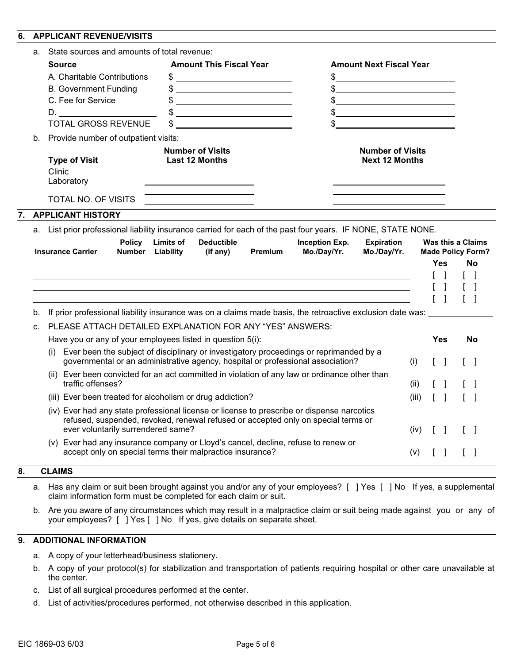#### **6. APPLICANT REVENUE/VISITS**

|    | a. | State sources and amounts of total revenue:                                                                                                                                                                                                                                        |                                                                                                                       |         |                                      |                                                                        |               |                                   |                                                            |
|----|----|------------------------------------------------------------------------------------------------------------------------------------------------------------------------------------------------------------------------------------------------------------------------------------|-----------------------------------------------------------------------------------------------------------------------|---------|--------------------------------------|------------------------------------------------------------------------|---------------|-----------------------------------|------------------------------------------------------------|
|    |    | <b>Source</b>                                                                                                                                                                                                                                                                      | <b>Amount This Fiscal Year</b>                                                                                        |         |                                      | <b>Amount Next Fiscal Year</b>                                         |               |                                   |                                                            |
|    |    | A. Charitable Contributions                                                                                                                                                                                                                                                        | \$                                                                                                                    |         |                                      | \$<br><u> 1980 - Johann Barbara, martin amerikan basar da</u>          |               |                                   |                                                            |
|    |    | <b>B. Government Funding</b>                                                                                                                                                                                                                                                       | <u> 2008 - Andrea Albert III, am bhaile an t-Iomraidh an t-Iomraidh an t-Iomraidh an t-Iomraidh an t-Iomraidh an </u> |         |                                      | <u> 1989 - Johann Stein, mars an t-Amerikaansk kommunister (</u>       |               |                                   |                                                            |
|    |    | C. Fee for Service                                                                                                                                                                                                                                                                 |                                                                                                                       |         |                                      | \$<br><u> 1989 - Johann Stoff, Amerikaansk politiker (</u>             |               |                                   |                                                            |
|    |    | D. All and the same of the same of the same of the same of the same of the same of the same of the same of the                                                                                                                                                                     |                                                                                                                       |         |                                      | \$<br><u> 1989 - Johann Stein, mars an t-Amerikaansk kommunister (</u> |               |                                   |                                                            |
|    |    | <b>TOTAL GROSS REVENUE</b>                                                                                                                                                                                                                                                         |                                                                                                                       |         |                                      | \$                                                                     |               |                                   |                                                            |
|    | b. | Provide number of outpatient visits:                                                                                                                                                                                                                                               |                                                                                                                       |         |                                      |                                                                        |               |                                   |                                                            |
|    |    | <b>Type of Visit</b><br>Clinic<br>Laboratory                                                                                                                                                                                                                                       | <b>Number of Visits</b><br><b>Last 12 Months</b>                                                                      |         |                                      | <b>Number of Visits</b><br><b>Next 12 Months</b>                       |               |                                   |                                                            |
|    |    | TOTAL NO. OF VISITS                                                                                                                                                                                                                                                                |                                                                                                                       |         |                                      |                                                                        |               |                                   |                                                            |
| 7. |    | <b>APPLICANT HISTORY</b>                                                                                                                                                                                                                                                           |                                                                                                                       |         |                                      |                                                                        |               |                                   |                                                            |
|    |    | a. List prior professional liability insurance carried for each of the past four years. IF NONE, STATE NONE.<br><b>Policy</b><br><b>Insurance Carrier</b><br><b>Number</b> Liability                                                                                               | <b>Deductible</b><br><b>Limits of</b><br>(if any)                                                                     | Premium | <b>Inception Exp.</b><br>Mo./Day/Yr. | <b>Expiration</b><br>Mo./Day/Yr.                                       |               | Yes                               | <b>Was this a Claims</b><br><b>Made Policy Form?</b><br>No |
|    |    |                                                                                                                                                                                                                                                                                    |                                                                                                                       |         |                                      |                                                                        |               |                                   |                                                            |
|    |    |                                                                                                                                                                                                                                                                                    | <u> 1989 - Andrea Barbara, Amerikaansk politiker (* 1958)</u>                                                         |         |                                      |                                                                        |               |                                   |                                                            |
|    |    |                                                                                                                                                                                                                                                                                    |                                                                                                                       |         |                                      |                                                                        |               |                                   |                                                            |
|    |    |                                                                                                                                                                                                                                                                                    |                                                                                                                       |         |                                      |                                                                        |               |                                   |                                                            |
|    | b. | If prior professional liability insurance was on a claims made basis, the retroactive exclusion date was:                                                                                                                                                                          |                                                                                                                       |         |                                      |                                                                        |               |                                   |                                                            |
|    | C. | PLEASE ATTACH DETAILED EXPLANATION FOR ANY "YES" ANSWERS:                                                                                                                                                                                                                          |                                                                                                                       |         |                                      |                                                                        |               |                                   |                                                            |
|    |    | Have you or any of your employees listed in question 5(i):                                                                                                                                                                                                                         |                                                                                                                       |         |                                      |                                                                        |               | <b>Yes</b>                        | No                                                         |
|    |    | Ever been the subject of disciplinary or investigatory proceedings or reprimanded by a<br>governmental or an administrative agency, hospital or professional association?                                                                                                          |                                                                                                                       |         |                                      |                                                                        | (i)           |                                   |                                                            |
|    |    | (ii) Ever been convicted for an act committed in violation of any law or ordinance other than                                                                                                                                                                                      |                                                                                                                       |         |                                      |                                                                        |               |                                   |                                                            |
|    |    | traffic offenses?                                                                                                                                                                                                                                                                  |                                                                                                                       |         |                                      |                                                                        | (ii)          |                                   |                                                            |
|    |    | (iii) Ever been treated for alcoholism or drug addiction?<br>(iv) Ever had any state professional license or license to prescribe or dispense narcotics<br>refused, suspended, revoked, renewal refused or accepted only on special terms or<br>ever voluntarily surrendered same? |                                                                                                                       |         |                                      |                                                                        | (iii)<br>(iv) | $\begin{bmatrix} 1 \end{bmatrix}$ |                                                            |

- a. Has any claim or suit been brought against you and/or any of your employees? [ ] Yes [ ] No If yes, a supplemental claim information form must be completed for each claim or suit.
- b. Are you aware of any circumstances which may result in a malpractice claim or suit being made against you or any of your employees? [ ] Yes [ ] No If yes, give details on separate sheet.

## **9. ADDITIONAL INFORMATION**

- a. A copy of your letterhead/business stationery.
- b. A copy of your protocol(s) for stabilization and transportation of patients requiring hospital or other care unavailable at the center.
- c. List of all surgical procedures performed at the center.
- d. List of activities/procedures performed, not otherwise described in this application.

 $\overline{8}$ .